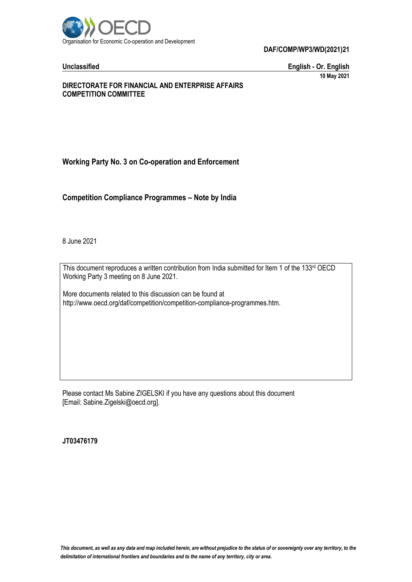

**DAF/COMP/WP3/WD(2021)21**

**Unclassified English - Or. English 10 May 2021**

# **DIRECTORATE FOR FINANCIAL AND ENTERPRISE AFFAIRS COMPETITION COMMITTEE**

# **Working Party No. 3 on Co-operation and Enforcement**

**Competition Compliance Programmes – Note by India**

8 June 2021

This document reproduces a written contribution from India submitted for Item 1 of the 133rd OECD Working Party 3 meeting on 8 June 2021.

More documents related to this discussion can be found at http://www.oecd.org/daf/competition/competition-compliance-programmes.htm.

Please contact Ms Sabine ZIGELSKI if you have any questions about this document [Email: Sabine.Zigelski@oecd.org].

**JT03476179**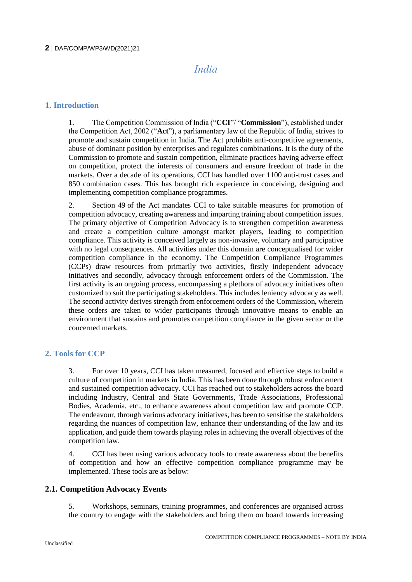# *India*

# **1. Introduction**

1. The Competition Commission of India ("**CCI**"/ "**Commission**"), established under the Competition Act, 2002 ("**Act**"), a parliamentary law of the Republic of India, strives to promote and sustain competition in India. The Act prohibits anti-competitive agreements, abuse of dominant position by enterprises and regulates combinations. It is the duty of the Commission to promote and sustain competition, eliminate practices having adverse effect on competition, protect the interests of consumers and ensure freedom of trade in the markets. Over a decade of its operations, CCI has handled over 1100 anti-trust cases and 850 combination cases. This has brought rich experience in conceiving, designing and implementing competition compliance programmes.

2. Section 49 of the Act mandates CCI to take suitable measures for promotion of competition advocacy, creating awareness and imparting training about competition issues. The primary objective of Competition Advocacy is to strengthen competition awareness and create a competition culture amongst market players, leading to competition compliance. This activity is conceived largely as non-invasive, voluntary and participative with no legal consequences. All activities under this domain are conceptualised for wider competition compliance in the economy. The Competition Compliance Programmes (CCPs) draw resources from primarily two activities, firstly independent advocacy initiatives and secondly, advocacy through enforcement orders of the Commission. The first activity is an ongoing process, encompassing a plethora of advocacy initiatives often customized to suit the participating stakeholders. This includes leniency advocacy as well. The second activity derives strength from enforcement orders of the Commission, wherein these orders are taken to wider participants through innovative means to enable an environment that sustains and promotes competition compliance in the given sector or the concerned markets.

# **2. Tools for CCP**

3. For over 10 years, CCI has taken measured, focused and effective steps to build a culture of competition in markets in India. This has been done through robust enforcement and sustained competition advocacy. CCI has reached out to stakeholders across the board including Industry, Central and State Governments, Trade Associations, Professional Bodies, Academia, etc., to enhance awareness about competition law and promote CCP. The endeavour, through various advocacy initiatives, has been to sensitise the stakeholders regarding the nuances of competition law, enhance their understanding of the law and its application, and guide them towards playing roles in achieving the overall objectives of the competition law.

4. CCI has been using various advocacy tools to create awareness about the benefits of competition and how an effective competition compliance programme may be implemented. These tools are as below:

# **2.1. Competition Advocacy Events**

5. Workshops, seminars, training programmes, and conferences are organised across the country to engage with the stakeholders and bring them on board towards increasing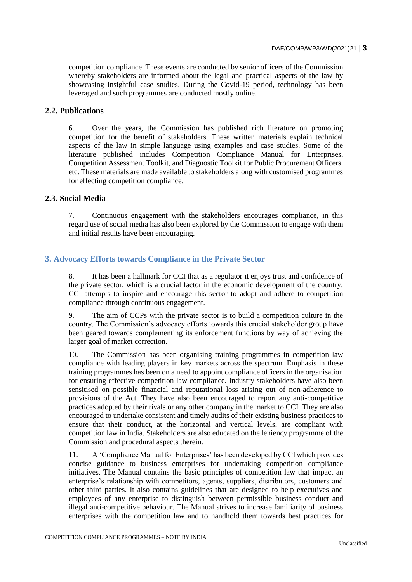competition compliance. These events are conducted by senior officers of the Commission whereby stakeholders are informed about the legal and practical aspects of the law by showcasing insightful case studies. During the Covid-19 period, technology has been leveraged and such programmes are conducted mostly online.

# **2.2. Publications**

6. Over the years, the Commission has published rich literature on promoting competition for the benefit of stakeholders. These written materials explain technical aspects of the law in simple language using examples and case studies. Some of the literature published includes Competition Compliance Manual for Enterprises, Competition Assessment Toolkit, and Diagnostic Toolkit for Public Procurement Officers, etc. These materials are made available to stakeholders along with customised programmes for effecting competition compliance.

# **2.3. Social Media**

7. Continuous engagement with the stakeholders encourages compliance, in this regard use of social media has also been explored by the Commission to engage with them and initial results have been encouraging.

# **3. Advocacy Efforts towards Compliance in the Private Sector**

8. It has been a hallmark for CCI that as a regulator it enjoys trust and confidence of the private sector, which is a crucial factor in the economic development of the country. CCI attempts to inspire and encourage this sector to adopt and adhere to competition compliance through continuous engagement.

9. The aim of CCPs with the private sector is to build a competition culture in the country. The Commission's advocacy efforts towards this crucial stakeholder group have been geared towards complementing its enforcement functions by way of achieving the larger goal of market correction.

10. The Commission has been organising training programmes in competition law compliance with leading players in key markets across the spectrum. Emphasis in these training programmes has been on a need to appoint compliance officers in the organisation for ensuring effective competition law compliance. Industry stakeholders have also been sensitised on possible financial and reputational loss arising out of non-adherence to provisions of the Act. They have also been encouraged to report any anti-competitive practices adopted by their rivals or any other company in the market to CCI. They are also encouraged to undertake consistent and timely audits of their existing business practices to ensure that their conduct, at the horizontal and vertical levels, are compliant with competition law in India. Stakeholders are also educated on the leniency programme of the Commission and procedural aspects therein.

11. A 'Compliance Manual for Enterprises' has been developed by CCI which provides concise guidance to business enterprises for undertaking competition compliance initiatives. The Manual contains the basic principles of competition law that impact an enterprise's relationship with competitors, agents, suppliers, distributors, customers and other third parties. It also contains guidelines that are designed to help executives and employees of any enterprise to distinguish between permissible business conduct and illegal anti-competitive behaviour. The Manual strives to increase familiarity of business enterprises with the competition law and to handhold them towards best practices for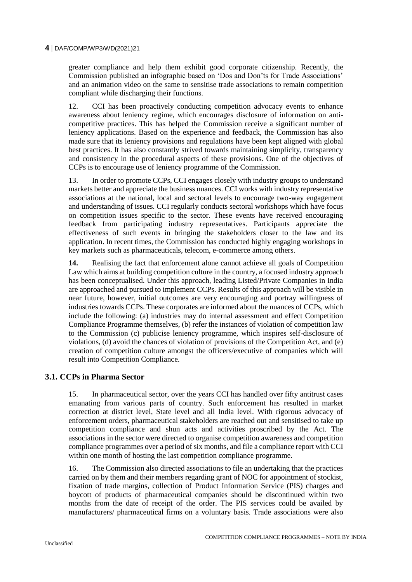### **4** DAF/COMP/WP3/WD(2021)21

greater compliance and help them exhibit good corporate citizenship. Recently, the Commission published an infographic based on 'Dos and Don'ts for Trade Associations' and an animation video on the same to sensitise trade associations to remain competition compliant while discharging their functions.

12. CCI has been proactively conducting competition advocacy events to enhance awareness about leniency regime, which encourages disclosure of information on anticompetitive practices. This has helped the Commission receive a significant number of leniency applications. Based on the experience and feedback, the Commission has also made sure that its leniency provisions and regulations have been kept aligned with global best practices. It has also constantly strived towards maintaining simplicity, transparency and consistency in the procedural aspects of these provisions. One of the objectives of CCPs is to encourage use of leniency programme of the Commission.

13. In order to promote CCPs, CCI engages closely with industry groups to understand markets better and appreciate the business nuances. CCI works with industry representative associations at the national, local and sectoral levels to encourage two-way engagement and understanding of issues. CCI regularly conducts sectoral workshops which have focus on competition issues specific to the sector. These events have received encouraging feedback from participating industry representatives. Participants appreciate the effectiveness of such events in bringing the stakeholders closer to the law and its application. In recent times, the Commission has conducted highly engaging workshops in key markets such as pharmaceuticals, telecom, e-commerce among others.

**14.** Realising the fact that enforcement alone cannot achieve all goals of Competition Law which aims at building competition culture in the country, a focused industry approach has been conceptualised. Under this approach, leading Listed/Private Companies in India are approached and pursued to implement CCPs. Results of this approach will be visible in near future, however, initial outcomes are very encouraging and portray willingness of industries towards CCPs. These corporates are informed about the nuances of CCPs, which include the following: (a) industries may do internal assessment and effect Competition Compliance Programme themselves, (b) refer the instances of violation of competition law to the Commission (c) publicise leniency programme, which inspires self-disclosure of violations, (d) avoid the chances of violation of provisions of the Competition Act, and (e) creation of competition culture amongst the officers/executive of companies which will result into Competition Compliance.

# **3.1. CCPs in Pharma Sector**

15. In pharmaceutical sector, over the years CCI has handled over fifty antitrust cases emanating from various parts of country. Such enforcement has resulted in market correction at district level, State level and all India level. With rigorous advocacy of enforcement orders, pharmaceutical stakeholders are reached out and sensitised to take up competition compliance and shun acts and activities proscribed by the Act. The associations in the sector were directed to organise competition awareness and competition compliance programmes over a period of six months, and file a compliance report with CCI within one month of hosting the last competition compliance programme.

16. The Commission also directed associations to file an undertaking that the practices carried on by them and their members regarding grant of NOC for appointment of stockist, fixation of trade margins, collection of Product Information Service (PIS) charges and boycott of products of pharmaceutical companies should be discontinued within two months from the date of receipt of the order. The PIS services could be availed by manufacturers/ pharmaceutical firms on a voluntary basis. Trade associations were also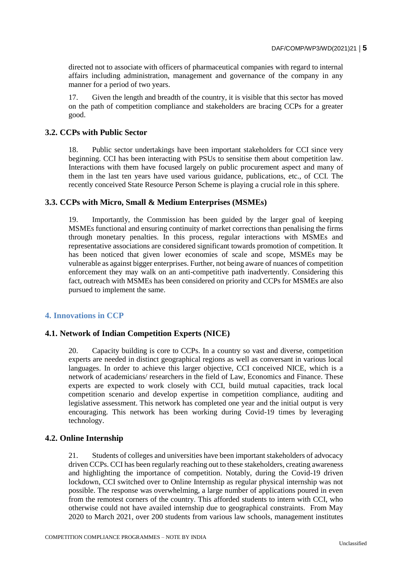directed not to associate with officers of pharmaceutical companies with regard to internal affairs including administration, management and governance of the company in any manner for a period of two years.

17. Given the length and breadth of the country, it is visible that this sector has moved on the path of competition compliance and stakeholders are bracing CCPs for a greater good.

# **3.2. CCPs with Public Sector**

18. Public sector undertakings have been important stakeholders for CCI since very beginning. CCI has been interacting with PSUs to sensitise them about competition law. Interactions with them have focused largely on public procurement aspect and many of them in the last ten years have used various guidance, publications, etc., of CCI. The recently conceived State Resource Person Scheme is playing a crucial role in this sphere.

# **3.3. CCPs with Micro, Small & Medium Enterprises (MSMEs)**

19. Importantly, the Commission has been guided by the larger goal of keeping MSMEs functional and ensuring continuity of market corrections than penalising the firms through monetary penalties. In this process, regular interactions with MSMEs and representative associations are considered significant towards promotion of competition. It has been noticed that given lower economies of scale and scope, MSMEs may be vulnerable as against bigger enterprises. Further, not being aware of nuances of competition enforcement they may walk on an anti-competitive path inadvertently. Considering this fact, outreach with MSMEs has been considered on priority and CCPs for MSMEs are also pursued to implement the same.

# **4. Innovations in CCP**

### **4.1. Network of Indian Competition Experts (NICE)**

20. Capacity building is core to CCPs. In a country so vast and diverse, competition experts are needed in distinct geographical regions as well as conversant in various local languages. In order to achieve this larger objective, CCI conceived NICE, which is a network of academicians/ researchers in the field of Law, Economics and Finance. These experts are expected to work closely with CCI, build mutual capacities, track local competition scenario and develop expertise in competition compliance, auditing and legislative assessment. This network has completed one year and the initial output is very encouraging. This network has been working during Covid-19 times by leveraging technology.

### **4.2. Online Internship**

21. Students of colleges and universities have been important stakeholders of advocacy driven CCPs. CCI has been regularly reaching out to these stakeholders, creating awareness and highlighting the importance of competition. Notably, during the Covid-19 driven lockdown, CCI switched over to Online Internship as regular physical internship was not possible. The response was overwhelming, a large number of applications poured in even from the remotest corners of the country. This afforded students to intern with CCI, who otherwise could not have availed internship due to geographical constraints. From May 2020 to March 2021, over 200 students from various law schools, management institutes